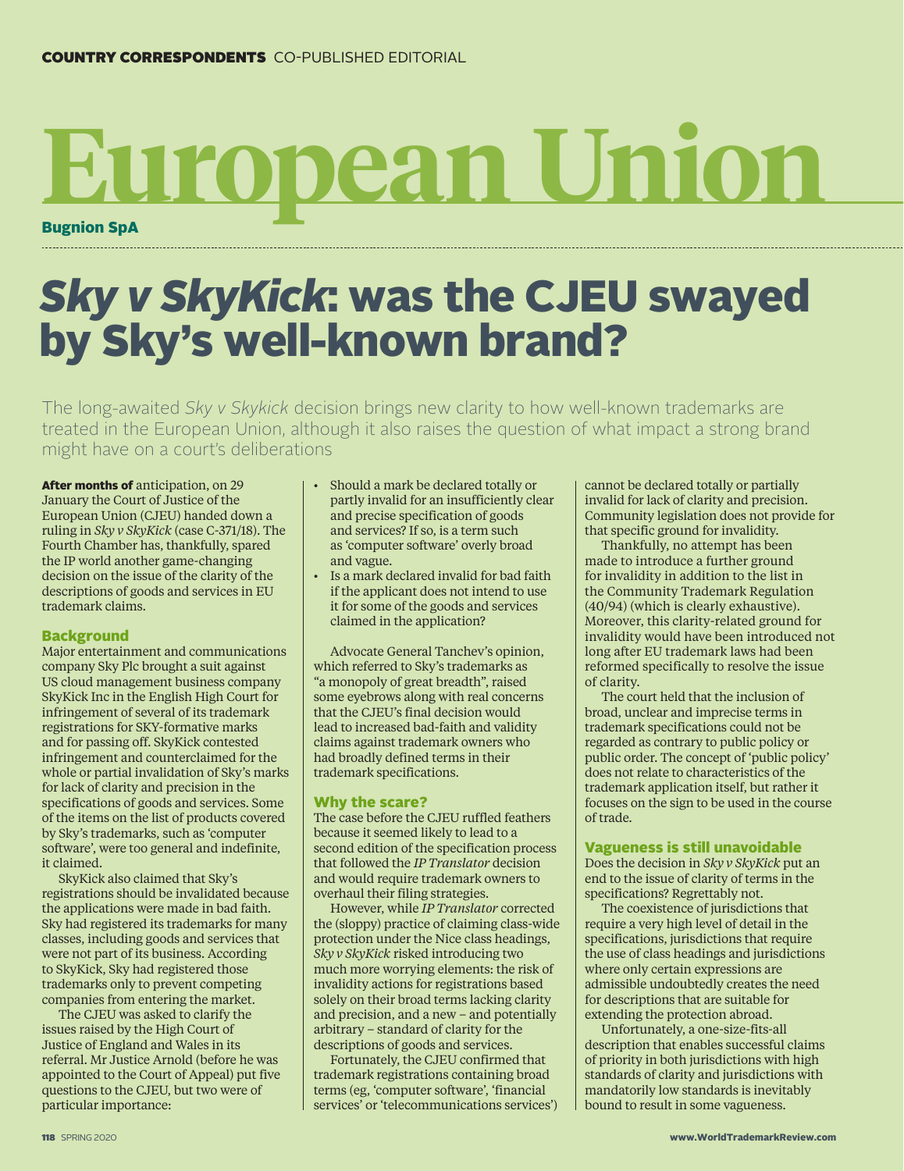# Bugnion SpA **European Union**

# *Sky v SkyKick*: was the CJEU swayed by Sky's well-known brand?

The long-awaited *Sky v Skykick* decision brings new clarity to how well-known trademarks are treated in the European Union, although it also raises the question of what impact a strong brand might have on a court's deliberations

After months of anticipation, on 29 January the Court of Justice of the European Union (CJEU) handed down a ruling in *Sky v SkyKick* (case C-371/18). The Fourth Chamber has, thankfully, spared the IP world another game-changing decision on the issue of the clarity of the descriptions of goods and services in EU trademark claims.

### **Background**

Major entertainment and communications company Sky Plc brought a suit against US cloud management business company SkyKick Inc in the English High Court for infringement of several of its trademark registrations for SKY-formative marks and for passing off. SkyKick contested infringement and counterclaimed for the whole or partial invalidation of Sky's marks for lack of clarity and precision in the specifications of goods and services. Some of the items on the list of products covered by Sky's trademarks, such as 'computer software', were too general and indefinite, it claimed.

SkyKick also claimed that Sky's registrations should be invalidated because the applications were made in bad faith. Sky had registered its trademarks for many classes, including goods and services that were not part of its business. According to SkyKick, Sky had registered those trademarks only to prevent competing companies from entering the market.

The CJEU was asked to clarify the issues raised by the High Court of Justice of England and Wales in its referral. Mr Justice Arnold (before he was appointed to the Court of Appeal) put five questions to the CJEU, but two were of particular importance:

- Should a mark be declared totally or partly invalid for an insufficiently clear and precise specification of goods and services? If so, is a term such as 'computer software' overly broad and vague.
- Is a mark declared invalid for bad faith if the applicant does not intend to use it for some of the goods and services claimed in the application?

Advocate General Tanchev's opinion, which referred to Sky's trademarks as "a monopoly of great breadth", raised some eyebrows along with real concerns that the CJEU's final decision would lead to increased bad-faith and validity claims against trademark owners who had broadly defined terms in their trademark specifications.

## Why the scare?

The case before the CJEU ruffled feathers because it seemed likely to lead to a second edition of the specification process that followed the *IP Translator* decision and would require trademark owners to overhaul their filing strategies.

However, while *IP Translator* corrected the (sloppy) practice of claiming class-wide protection under the Nice class headings, *Sky v SkyKick* risked introducing two much more worrying elements: the risk of invalidity actions for registrations based solely on their broad terms lacking clarity and precision, and a new – and potentially arbitrary – standard of clarity for the descriptions of goods and services.

Fortunately, the CJEU confirmed that trademark registrations containing broad terms (eg, 'computer software', 'financial services' or 'telecommunications services') cannot be declared totally or partially invalid for lack of clarity and precision. Community legislation does not provide for that specific ground for invalidity.

Thankfully, no attempt has been made to introduce a further ground for invalidity in addition to the list in the Community Trademark Regulation (40/94) (which is clearly exhaustive). Moreover, this clarity-related ground for invalidity would have been introduced not long after EU trademark laws had been reformed specifically to resolve the issue of clarity.

The court held that the inclusion of broad, unclear and imprecise terms in trademark specifications could not be regarded as contrary to public policy or public order. The concept of 'public policy' does not relate to characteristics of the trademark application itself, but rather it focuses on the sign to be used in the course of trade.

### Vagueness is still unavoidable

Does the decision in *Sky v SkyKick* put an end to the issue of clarity of terms in the specifications? Regrettably not.

The coexistence of jurisdictions that require a very high level of detail in the specifications, jurisdictions that require the use of class headings and jurisdictions where only certain expressions are admissible undoubtedly creates the need for descriptions that are suitable for extending the protection abroad.

Unfortunately, a one-size-fits-all description that enables successful claims of priority in both jurisdictions with high standards of clarity and jurisdictions with mandatorily low standards is inevitably bound to result in some vagueness.